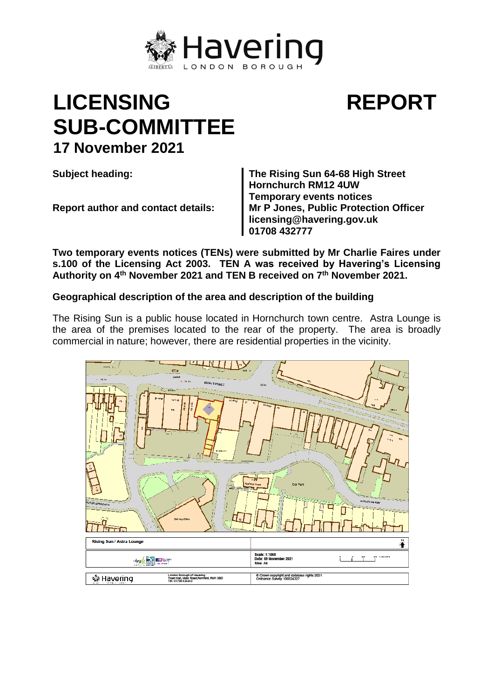

## **LICENSING SUB-COMMITTEE 17 November 2021**

**Subject heading: The Rising Sun 64-68 High Street Hornchurch RM12 4UW Temporary events notices Report author and contact details: Mr P Jones, Public Protection Officer licensing@havering.gov.uk 01708 432777**

**REPORT**

**Two temporary events notices (TENs) were submitted by Mr Charlie Faires under s.100 of the Licensing Act 2003. TEN A was received by Havering's Licensing Authority on 4th November 2021 and TEN B received on 7th November 2021.**

## **Geographical description of the area and description of the building**

The Rising Sun is a public house located in Hornchurch town centre. Astra Lounge is the area of the premises located to the rear of the property. The area is broadly commercial in nature; however, there are residential properties in the vicinity.

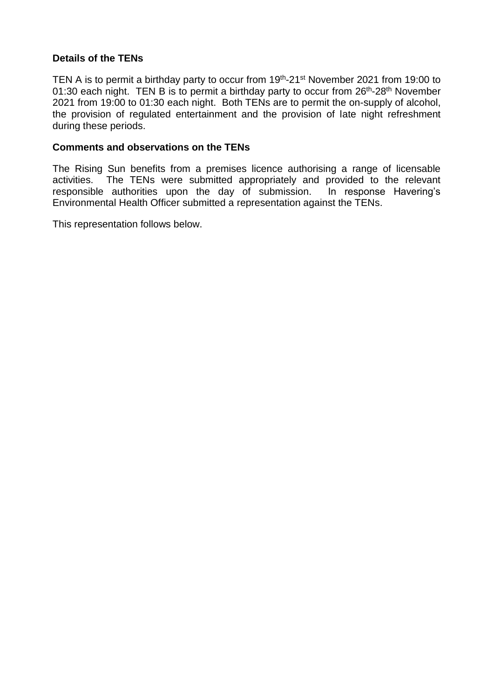## **Details of the TENs**

TEN A is to permit a birthday party to occur from 19<sup>th</sup>-21<sup>st</sup> November 2021 from 19:00 to 01:30 each night. TEN B is to permit a birthday party to occur from 26<sup>th</sup>-28<sup>th</sup> November 2021 from 19:00 to 01:30 each night. Both TENs are to permit the on-supply of alcohol, the provision of regulated entertainment and the provision of late night refreshment during these periods.

## **Comments and observations on the TENs**

The Rising Sun benefits from a premises licence authorising a range of licensable activities. The TENs were submitted appropriately and provided to the relevant responsible authorities upon the day of submission. In response Havering's Environmental Health Officer submitted a representation against the TENs.

This representation follows below.